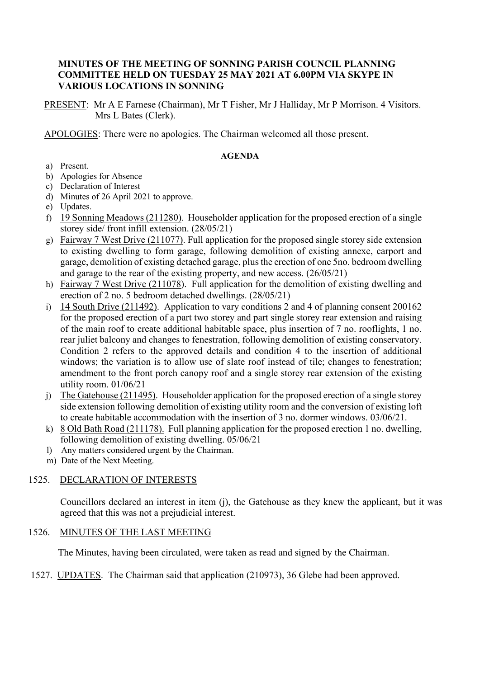#### **MINUTES OF THE MEETING OF SONNING PARISH COUNCIL PLANNING COMMITTEE HELD ON TUESDAY 25 MAY 2021 AT 6.00PM VIA SKYPE IN VARIOUS LOCATIONS IN SONNING**

PRESENT: Mr A E Farnese (Chairman), Mr T Fisher, Mr J Halliday, Mr P Morrison. 4 Visitors. Mrs L Bates (Clerk).

APOLOGIES: There were no apologies. The Chairman welcomed all those present.

#### **AGENDA**

- a) Present.
- b) Apologies for Absence
- c) Declaration of Interest
- d) Minutes of 26 April 2021 to approve.
- e) Updates.
- f) 19 Sonning Meadows (211280). Householder application for the proposed erection of a single storey side/ front infill extension. (28/05/21)
- g) Fairway 7 West Drive (211077). Full application for the proposed single storey side extension to existing dwelling to form garage, following demolition of existing annexe, carport and garage, demolition of existing detached garage, plus the erection of one 5no. bedroom dwelling and garage to the rear of the existing property, and new access. (26/05/21)
- h) Fairway 7 West Drive (211078). Full application for the demolition of existing dwelling and erection of 2 no. 5 bedroom detached dwellings. (28/05/21)
- i) 14 South Drive (211492). Application to vary conditions 2 and 4 of planning consent 200162 for the proposed erection of a part two storey and part single storey rear extension and raising of the main roof to create additional habitable space, plus insertion of 7 no. rooflights, 1 no. rear juliet balcony and changes to fenestration, following demolition of existing conservatory. Condition 2 refers to the approved details and condition 4 to the insertion of additional windows; the variation is to allow use of slate roof instead of tile; changes to fenestration; amendment to the front porch canopy roof and a single storey rear extension of the existing utility room. 01/06/21
- j) The Gatehouse (211495). Householder application for the proposed erection of a single storey side extension following demolition of existing utility room and the conversion of existing loft to create habitable accommodation with the insertion of 3 no. dormer windows. 03/06/21.
- k) 8 Old Bath Road (211178). Full planning application for the proposed erection 1 no. dwelling, following demolition of existing dwelling. 05/06/21
- l) Any matters considered urgent by the Chairman.
- m) Date of the Next Meeting.

## 1525. DECLARATION OF INTERESTS

Councillors declared an interest in item (j), the Gatehouse as they knew the applicant, but it was agreed that this was not a prejudicial interest.

## 1526. MINUTES OF THE LAST MEETING

The Minutes, having been circulated, were taken as read and signed by the Chairman.

## 1527. UPDATES. The Chairman said that application (210973), 36 Glebe had been approved.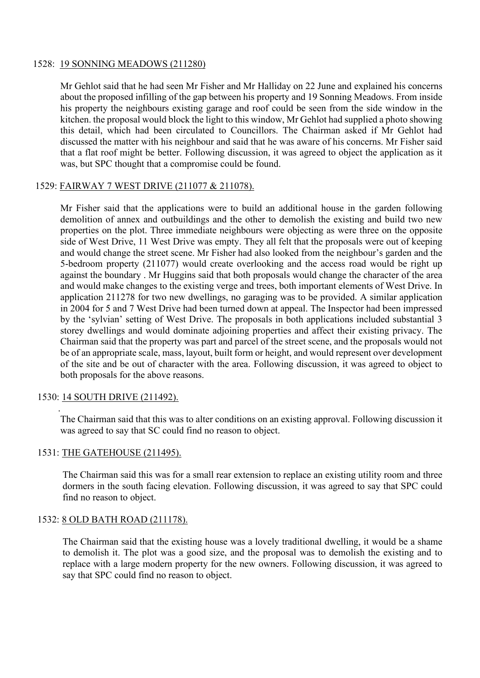#### 1528: 19 SONNING MEADOWS (211280)

Mr Gehlot said that he had seen Mr Fisher and Mr Halliday on 22 June and explained his concerns about the proposed infilling of the gap between his property and 19 Sonning Meadows. From inside his property the neighbours existing garage and roof could be seen from the side window in the kitchen. the proposal would block the light to this window, Mr Gehlot had supplied a photo showing this detail, which had been circulated to Councillors. The Chairman asked if Mr Gehlot had discussed the matter with his neighbour and said that he was aware of his concerns. Mr Fisher said that a flat roof might be better. Following discussion, it was agreed to object the application as it was, but SPC thought that a compromise could be found.

## 1529: FAIRWAY 7 WEST DRIVE (211077 & 211078).

Mr Fisher said that the applications were to build an additional house in the garden following demolition of annex and outbuildings and the other to demolish the existing and build two new properties on the plot. Three immediate neighbours were objecting as were three on the opposite side of West Drive, 11 West Drive was empty. They all felt that the proposals were out of keeping and would change the street scene. Mr Fisher had also looked from the neighbour's garden and the 5-bedroom property (211077) would create overlooking and the access road would be right up against the boundary . Mr Huggins said that both proposals would change the character of the area and would make changes to the existing verge and trees, both important elements of West Drive. In application 211278 for two new dwellings, no garaging was to be provided. A similar application in 2004 for 5 and 7 West Drive had been turned down at appeal. The Inspector had been impressed by the 'sylvian' setting of West Drive. The proposals in both applications included substantial 3 storey dwellings and would dominate adjoining properties and affect their existing privacy. The Chairman said that the property was part and parcel of the street scene, and the proposals would not be of an appropriate scale, mass, layout, built form or height, and would represent over development of the site and be out of character with the area. Following discussion, it was agreed to object to both proposals for the above reasons.

## 1530: 14 SOUTH DRIVE (211492).

.

The Chairman said that this was to alter conditions on an existing approval. Following discussion it was agreed to say that SC could find no reason to object.

#### 1531: THE GATEHOUSE (211495).

The Chairman said this was for a small rear extension to replace an existing utility room and three dormers in the south facing elevation. Following discussion, it was agreed to say that SPC could find no reason to object.

#### 1532: 8 OLD BATH ROAD (211178).

The Chairman said that the existing house was a lovely traditional dwelling, it would be a shame to demolish it. The plot was a good size, and the proposal was to demolish the existing and to replace with a large modern property for the new owners. Following discussion, it was agreed to say that SPC could find no reason to object.